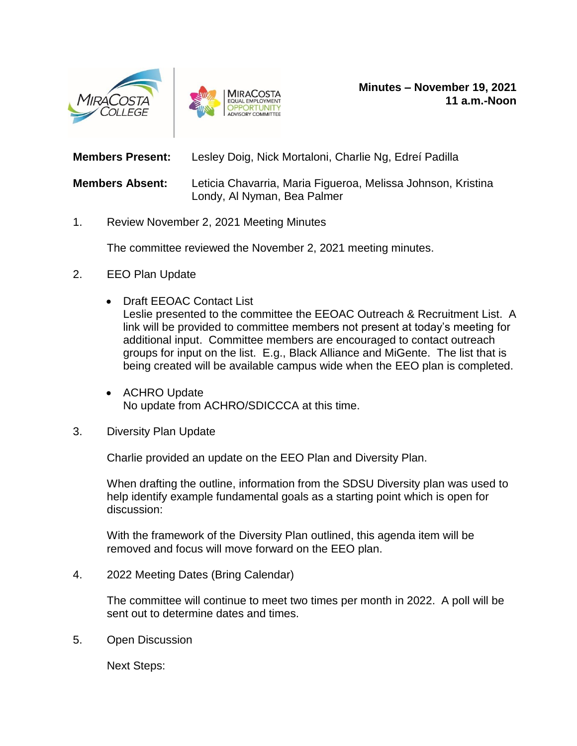



**Members Present:** Lesley Doig, Nick Mortaloni, Charlie Ng, Edreí Padilla

**Members Absent:** Leticia Chavarria, Maria Figueroa, Melissa Johnson, Kristina Londy, Al Nyman, Bea Palmer

1. Review November 2, 2021 Meeting Minutes

The committee reviewed the November 2, 2021 meeting minutes.

- 2. EEO Plan Update
	- Draft EEOAC Contact List Leslie presented to the committee the EEOAC Outreach & Recruitment List. A link will be provided to committee members not present at today's meeting for additional input. Committee members are encouraged to contact outreach groups for input on the list. E.g., Black Alliance and MiGente. The list that is being created will be available campus wide when the EEO plan is completed.
	- ACHRO Update No update from ACHRO/SDICCCA at this time.
- 3. Diversity Plan Update

Charlie provided an update on the EEO Plan and Diversity Plan.

When drafting the outline, information from the SDSU Diversity plan was used to help identify example fundamental goals as a starting point which is open for discussion:

With the framework of the Diversity Plan outlined, this agenda item will be removed and focus will move forward on the EEO plan.

4. 2022 Meeting Dates (Bring Calendar)

The committee will continue to meet two times per month in 2022. A poll will be sent out to determine dates and times.

5. Open Discussion

Next Steps: